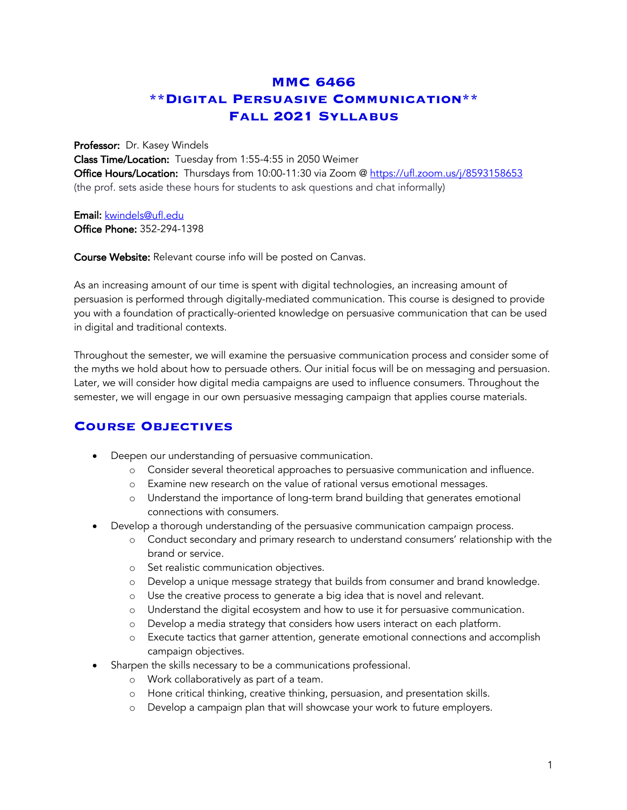# **MMC 6466 \*\*Digital Persuasive Communication\*\* Fall 2021 Syllabus**

#### Professor: Dr. Kasey Windels

Class Time/Location: Tuesday from 1:55-4:55 in 2050 Weimer Office Hours/Location: Thursdays from 10:00-11:30 via Zoom @ https://ufl.zoom.us/j/8593158653 (the prof. sets aside these hours for students to ask questions and chat informally)

### Email: kwindels@ufl.edu

Office Phone: 352-294-1398

Course Website: Relevant course info will be posted on Canvas.

As an increasing amount of our time is spent with digital technologies, an increasing amount of persuasion is performed through digitally-mediated communication. This course is designed to provide you with a foundation of practically-oriented knowledge on persuasive communication that can be used in digital and traditional contexts.

Throughout the semester, we will examine the persuasive communication process and consider some of the myths we hold about how to persuade others. Our initial focus will be on messaging and persuasion. Later, we will consider how digital media campaigns are used to influence consumers. Throughout the semester, we will engage in our own persuasive messaging campaign that applies course materials.

## **Course Objectives**

- Deepen our understanding of persuasive communication.
	- o Consider several theoretical approaches to persuasive communication and influence.
	- o Examine new research on the value of rational versus emotional messages.
	- o Understand the importance of long-term brand building that generates emotional connections with consumers.
- Develop a thorough understanding of the persuasive communication campaign process.
	- o Conduct secondary and primary research to understand consumers' relationship with the brand or service.
	- o Set realistic communication objectives.
	- o Develop a unique message strategy that builds from consumer and brand knowledge.
	- o Use the creative process to generate a big idea that is novel and relevant.
	- o Understand the digital ecosystem and how to use it for persuasive communication.
	- o Develop a media strategy that considers how users interact on each platform.
	- o Execute tactics that garner attention, generate emotional connections and accomplish campaign objectives.
- Sharpen the skills necessary to be a communications professional.
	- o Work collaboratively as part of a team.
	- o Hone critical thinking, creative thinking, persuasion, and presentation skills.
	- o Develop a campaign plan that will showcase your work to future employers.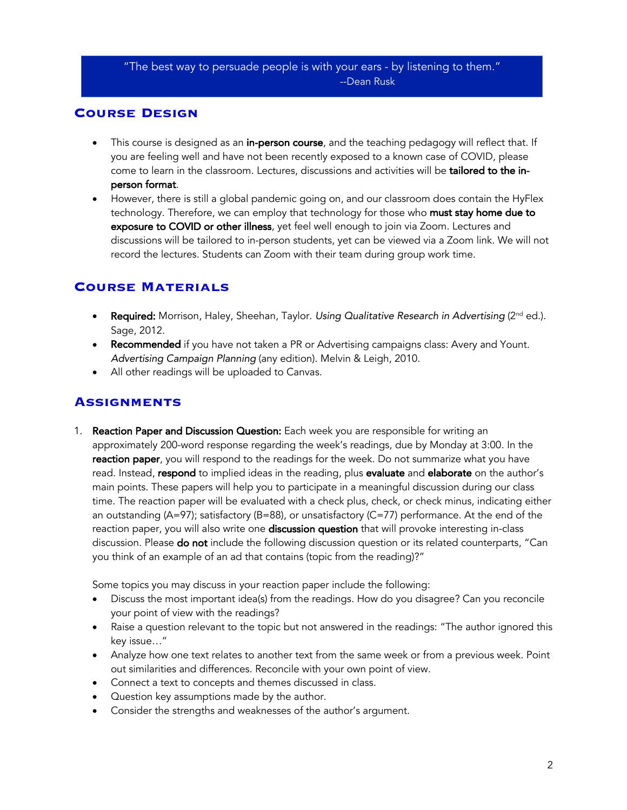#### "The best way to persuade people is with your ears - by listening to them." --Dean Rusk

### **Course Design**

- This course is designed as an **in-person course**, and the teaching pedagogy will reflect that. If you are feeling well and have not been recently exposed to a known case of COVID, please come to learn in the classroom. Lectures, discussions and activities will be tailored to the inperson format.
- However, there is still a global pandemic going on, and our classroom does contain the HyFlex technology. Therefore, we can employ that technology for those who must stay home due to exposure to COVID or other illness, yet feel well enough to join via Zoom. Lectures and discussions will be tailored to in-person students, yet can be viewed via a Zoom link. We will not record the lectures. Students can Zoom with their team during group work time.

### **Course Materials**

- **Required:** Morrison, Haley, Sheehan, Taylor. *Using Qualitative Research in Advertising* (2<sup>nd</sup> ed.). Sage, 2012.
- Recommended if you have not taken a PR or Advertising campaigns class: Avery and Yount. *Advertising Campaign Planning* (any edition). Melvin & Leigh, 2010.
- All other readings will be uploaded to Canvas.

## **Assignments**

1. Reaction Paper and Discussion Question: Each week you are responsible for writing an approximately 200-word response regarding the week's readings, due by Monday at 3:00. In the reaction paper, you will respond to the readings for the week. Do not summarize what you have read. Instead, respond to implied ideas in the reading, plus evaluate and elaborate on the author's main points. These papers will help you to participate in a meaningful discussion during our class time. The reaction paper will be evaluated with a check plus, check, or check minus, indicating either an outstanding (A=97); satisfactory (B=88), or unsatisfactory (C=77) performance. At the end of the reaction paper, you will also write one discussion question that will provoke interesting in-class discussion. Please **do not** include the following discussion question or its related counterparts, "Can you think of an example of an ad that contains (topic from the reading)?"

Some topics you may discuss in your reaction paper include the following:

- Discuss the most important idea(s) from the readings. How do you disagree? Can you reconcile your point of view with the readings?
- Raise a question relevant to the topic but not answered in the readings: "The author ignored this key issue…"
- Analyze how one text relates to another text from the same week or from a previous week. Point out similarities and differences. Reconcile with your own point of view.
- Connect a text to concepts and themes discussed in class.
- Question key assumptions made by the author.
- Consider the strengths and weaknesses of the author's argument.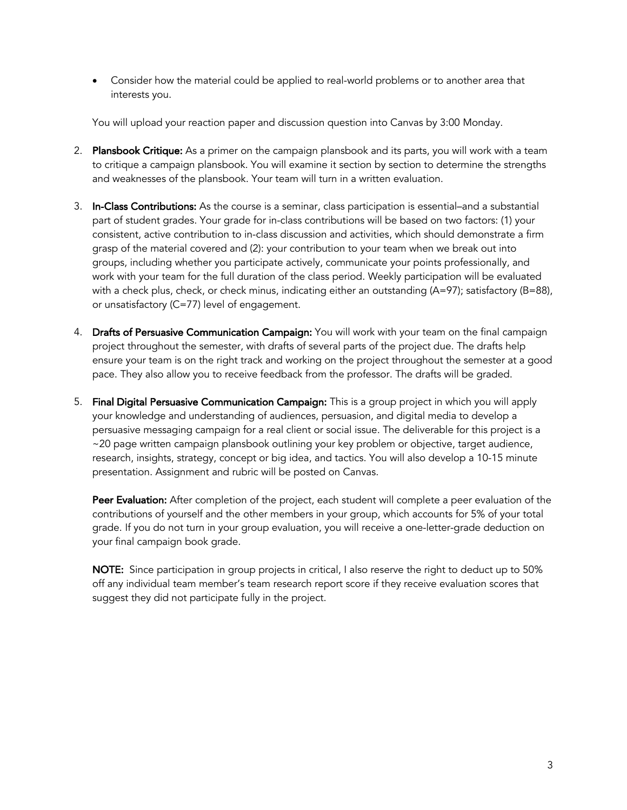• Consider how the material could be applied to real-world problems or to another area that interests you.

You will upload your reaction paper and discussion question into Canvas by 3:00 Monday.

- 2. Plansbook Critique: As a primer on the campaign plansbook and its parts, you will work with a team to critique a campaign plansbook. You will examine it section by section to determine the strengths and weaknesses of the plansbook. Your team will turn in a written evaluation.
- 3. In-Class Contributions: As the course is a seminar, class participation is essential–and a substantial part of student grades. Your grade for in-class contributions will be based on two factors: (1) your consistent, active contribution to in-class discussion and activities, which should demonstrate a firm grasp of the material covered and (2): your contribution to your team when we break out into groups, including whether you participate actively, communicate your points professionally, and work with your team for the full duration of the class period. Weekly participation will be evaluated with a check plus, check, or check minus, indicating either an outstanding  $(A=97)$ ; satisfactory  $(B=88)$ , or unsatisfactory (C=77) level of engagement.
- 4. Drafts of Persuasive Communication Campaign: You will work with your team on the final campaign project throughout the semester, with drafts of several parts of the project due. The drafts help ensure your team is on the right track and working on the project throughout the semester at a good pace. They also allow you to receive feedback from the professor. The drafts will be graded.
- 5. Final Digital Persuasive Communication Campaign: This is a group project in which you will apply your knowledge and understanding of audiences, persuasion, and digital media to develop a persuasive messaging campaign for a real client or social issue. The deliverable for this project is a ~20 page written campaign plansbook outlining your key problem or objective, target audience, research, insights, strategy, concept or big idea, and tactics. You will also develop a 10-15 minute presentation. Assignment and rubric will be posted on Canvas.

Peer Evaluation: After completion of the project, each student will complete a peer evaluation of the contributions of yourself and the other members in your group, which accounts for 5% of your total grade. If you do not turn in your group evaluation, you will receive a one-letter-grade deduction on your final campaign book grade.

NOTE: Since participation in group projects in critical, I also reserve the right to deduct up to 50% off any individual team member's team research report score if they receive evaluation scores that suggest they did not participate fully in the project.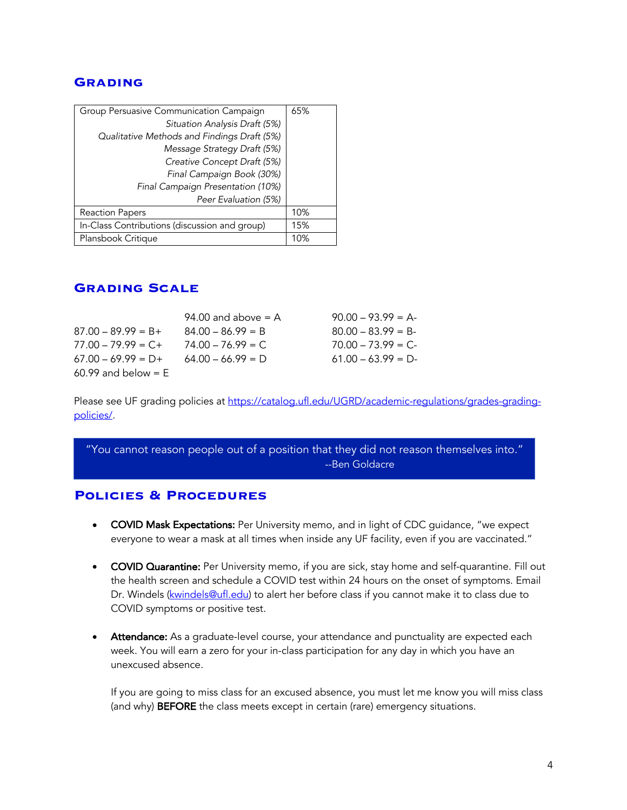#### **Grading**

| Group Persuasive Communication Campaign       | 65% |
|-----------------------------------------------|-----|
| Situation Analysis Draft (5%)                 |     |
| Qualitative Methods and Findings Draft (5%)   |     |
| Message Strategy Draft (5%)                   |     |
| Creative Concept Draft (5%)                   |     |
| Final Campaign Book (30%)                     |     |
| Final Campaign Presentation (10%)             |     |
| Peer Evaluation (5%)                          |     |
| Reaction Papers                               | 10% |
| In-Class Contributions (discussion and group) | 15% |
| Plansbook Critique                            | 10% |

### **Grading Scale**

|                       | 94.00 and above $= A$ | $90.00 - 93.99 = A$ |
|-----------------------|-----------------------|---------------------|
| $87.00 - 89.99 = B +$ | $84.00 - 86.99 = B$   | $80.00 - 83.99 = B$ |
| $77.00 - 79.99 = C +$ | $74.00 - 76.99 = C$   | $70.00 - 73.99 = C$ |
| $67.00 - 69.99 = D +$ | $64.00 - 66.99 = D$   | $61.00 - 63.99 = D$ |
| $60.99$ and below = E |                       |                     |

Please see UF grading policies at https://catalog.ufl.edu/UGRD/academic-regulations/grades-gradingpolicies/.

"You cannot reason people out of a position that they did not reason themselves into." --Ben Goldacre

### **Policies & Procedures**

- COVID Mask Expectations: Per University memo, and in light of CDC guidance, "we expect everyone to wear a mask at all times when inside any UF facility, even if you are vaccinated."
- COVID Quarantine: Per University memo, if you are sick, stay home and self-quarantine. Fill out the health screen and schedule a COVID test within 24 hours on the onset of symptoms. Email Dr. Windels (kwindels@ufl.edu) to alert her before class if you cannot make it to class due to COVID symptoms or positive test.
- Attendance: As a graduate-level course, your attendance and punctuality are expected each week. You will earn a zero for your in-class participation for any day in which you have an unexcused absence.

If you are going to miss class for an excused absence, you must let me know you will miss class (and why) BEFORE the class meets except in certain (rare) emergency situations.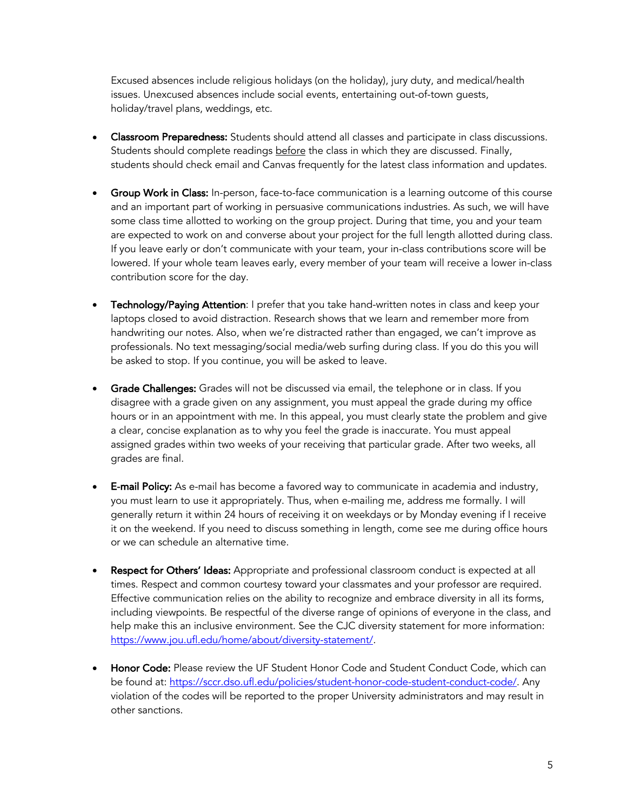Excused absences include religious holidays (on the holiday), jury duty, and medical/health issues. Unexcused absences include social events, entertaining out-of-town guests, holiday/travel plans, weddings, etc.

- Classroom Preparedness: Students should attend all classes and participate in class discussions. Students should complete readings **before** the class in which they are discussed. Finally, students should check email and Canvas frequently for the latest class information and updates.
- Group Work in Class: In-person, face-to-face communication is a learning outcome of this course and an important part of working in persuasive communications industries. As such, we will have some class time allotted to working on the group project. During that time, you and your team are expected to work on and converse about your project for the full length allotted during class. If you leave early or don't communicate with your team, your in-class contributions score will be lowered. If your whole team leaves early, every member of your team will receive a lower in-class contribution score for the day.
- **Technology/Paying Attention:** I prefer that you take hand-written notes in class and keep your laptops closed to avoid distraction. Research shows that we learn and remember more from handwriting our notes. Also, when we're distracted rather than engaged, we can't improve as professionals. No text messaging/social media/web surfing during class. If you do this you will be asked to stop. If you continue, you will be asked to leave.
- Grade Challenges: Grades will not be discussed via email, the telephone or in class. If you disagree with a grade given on any assignment, you must appeal the grade during my office hours or in an appointment with me. In this appeal, you must clearly state the problem and give a clear, concise explanation as to why you feel the grade is inaccurate. You must appeal assigned grades within two weeks of your receiving that particular grade. After two weeks, all grades are final.
- **E-mail Policy:** As e-mail has become a favored way to communicate in academia and industry, you must learn to use it appropriately. Thus, when e-mailing me, address me formally. I will generally return it within 24 hours of receiving it on weekdays or by Monday evening if I receive it on the weekend. If you need to discuss something in length, come see me during office hours or we can schedule an alternative time.
- Respect for Others' Ideas: Appropriate and professional classroom conduct is expected at all times. Respect and common courtesy toward your classmates and your professor are required. Effective communication relies on the ability to recognize and embrace diversity in all its forms, including viewpoints. Be respectful of the diverse range of opinions of everyone in the class, and help make this an inclusive environment. See the CJC diversity statement for more information: https://www.jou.ufl.edu/home/about/diversity-statement/.
- **Honor Code:** Please review the UF Student Honor Code and Student Conduct Code, which can be found at: https://sccr.dso.ufl.edu/policies/student-honor-code-student-conduct-code/. Any violation of the codes will be reported to the proper University administrators and may result in other sanctions.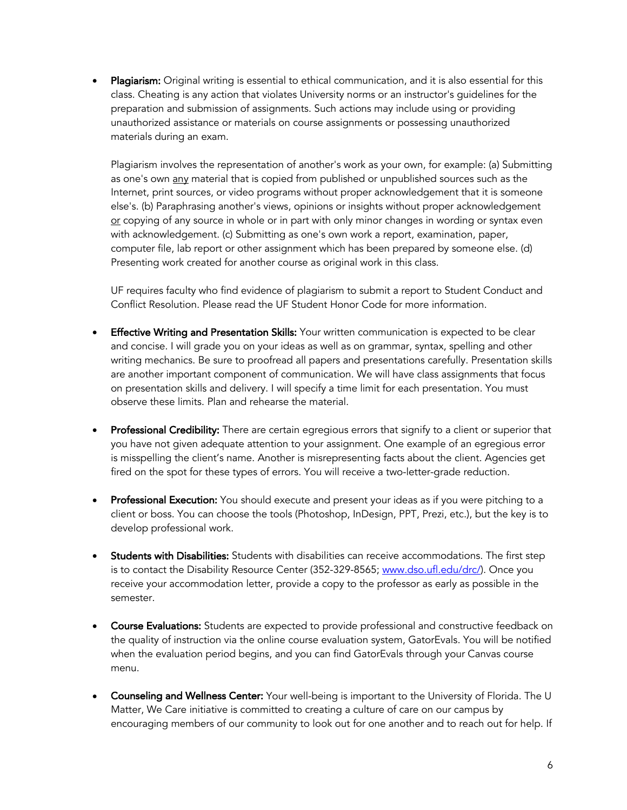Plagiarism: Original writing is essential to ethical communication, and it is also essential for this class. Cheating is any action that violates University norms or an instructor's guidelines for the preparation and submission of assignments. Such actions may include using or providing unauthorized assistance or materials on course assignments or possessing unauthorized materials during an exam.

Plagiarism involves the representation of another's work as your own, for example: (a) Submitting as one's own any material that is copied from published or unpublished sources such as the Internet, print sources, or video programs without proper acknowledgement that it is someone else's. (b) Paraphrasing another's views, opinions or insights without proper acknowledgement or copying of any source in whole or in part with only minor changes in wording or syntax even with acknowledgement. (c) Submitting as one's own work a report, examination, paper, computer file, lab report or other assignment which has been prepared by someone else. (d) Presenting work created for another course as original work in this class.

UF requires faculty who find evidence of plagiarism to submit a report to Student Conduct and Conflict Resolution. Please read the UF Student Honor Code for more information.

- Effective Writing and Presentation Skills: Your written communication is expected to be clear and concise. I will grade you on your ideas as well as on grammar, syntax, spelling and other writing mechanics. Be sure to proofread all papers and presentations carefully. Presentation skills are another important component of communication. We will have class assignments that focus on presentation skills and delivery. I will specify a time limit for each presentation. You must observe these limits. Plan and rehearse the material.
- Professional Credibility: There are certain egregious errors that signify to a client or superior that you have not given adequate attention to your assignment. One example of an egregious error is misspelling the client's name. Another is misrepresenting facts about the client. Agencies get fired on the spot for these types of errors. You will receive a two-letter-grade reduction.
- Professional Execution: You should execute and present your ideas as if you were pitching to a client or boss. You can choose the tools (Photoshop, InDesign, PPT, Prezi, etc.), but the key is to develop professional work.
- Students with Disabilities: Students with disabilities can receive accommodations. The first step is to contact the Disability Resource Center (352-329-8565; www.dso.ufl.edu/drc/). Once you receive your accommodation letter, provide a copy to the professor as early as possible in the semester.
- Course Evaluations: Students are expected to provide professional and constructive feedback on the quality of instruction via the online course evaluation system, GatorEvals. You will be notified when the evaluation period begins, and you can find GatorEvals through your Canvas course menu.
- Counseling and Wellness Center: Your well-being is important to the University of Florida. The U Matter, We Care initiative is committed to creating a culture of care on our campus by encouraging members of our community to look out for one another and to reach out for help. If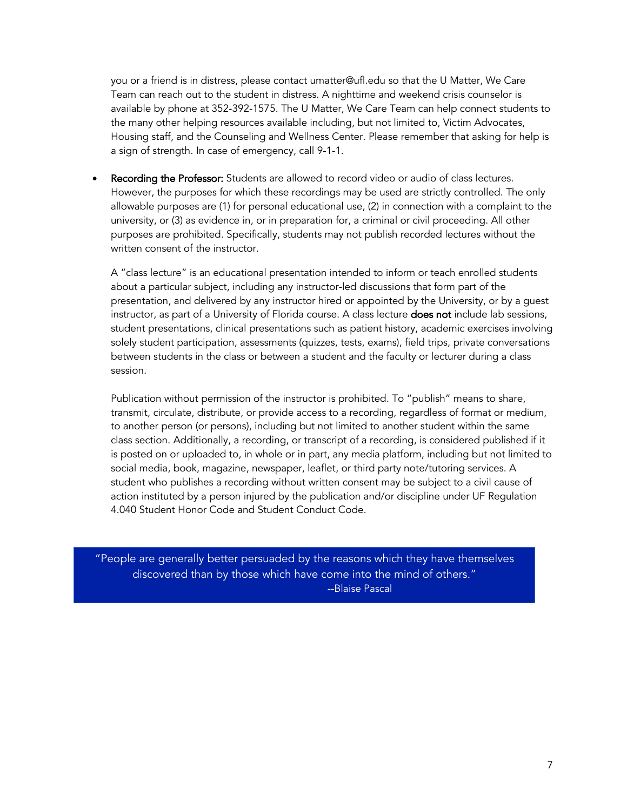you or a friend is in distress, please contact umatter@ufl.edu so that the U Matter, We Care Team can reach out to the student in distress. A nighttime and weekend crisis counselor is available by phone at 352-392-1575. The U Matter, We Care Team can help connect students to the many other helping resources available including, but not limited to, Victim Advocates, Housing staff, and the Counseling and Wellness Center. Please remember that asking for help is a sign of strength. In case of emergency, call 9-1-1.

Recording the Professor: Students are allowed to record video or audio of class lectures. However, the purposes for which these recordings may be used are strictly controlled. The only allowable purposes are (1) for personal educational use, (2) in connection with a complaint to the university, or (3) as evidence in, or in preparation for, a criminal or civil proceeding. All other purposes are prohibited. Specifically, students may not publish recorded lectures without the written consent of the instructor.

A "class lecture" is an educational presentation intended to inform or teach enrolled students about a particular subject, including any instructor-led discussions that form part of the presentation, and delivered by any instructor hired or appointed by the University, or by a guest instructor, as part of a University of Florida course. A class lecture **does not** include lab sessions, student presentations, clinical presentations such as patient history, academic exercises involving solely student participation, assessments (quizzes, tests, exams), field trips, private conversations between students in the class or between a student and the faculty or lecturer during a class session.

Publication without permission of the instructor is prohibited. To "publish" means to share, transmit, circulate, distribute, or provide access to a recording, regardless of format or medium, to another person (or persons), including but not limited to another student within the same class section. Additionally, a recording, or transcript of a recording, is considered published if it is posted on or uploaded to, in whole or in part, any media platform, including but not limited to social media, book, magazine, newspaper, leaflet, or third party note/tutoring services. A student who publishes a recording without written consent may be subject to a civil cause of action instituted by a person injured by the publication and/or discipline under UF Regulation 4.040 Student Honor Code and Student Conduct Code.

"People are generally better persuaded by the reasons which they have themselves discovered than by those which have come into the mind of others." --Blaise Pascal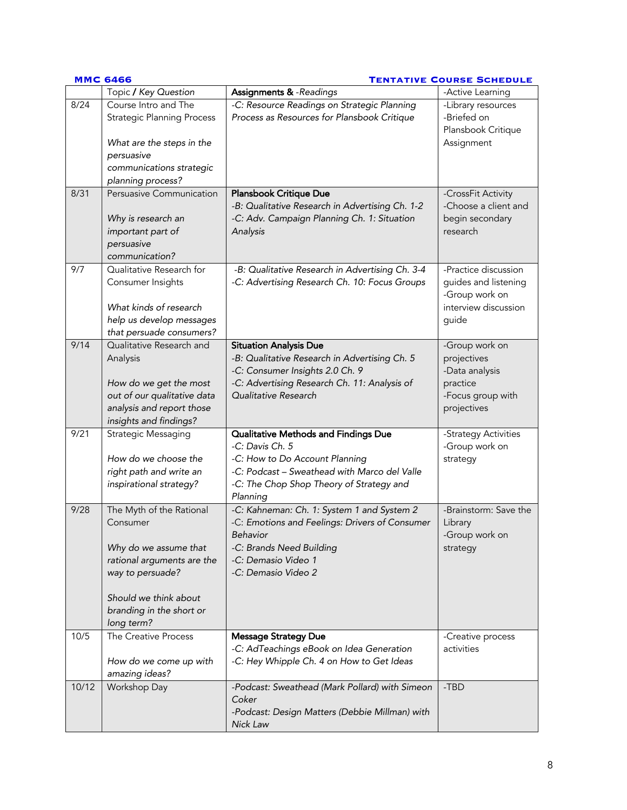|       | <b>MMC 6466</b>                                                                                                                 | <b>TENTATIVE COURSE SCHEDULE</b>                                                                           |                                                                                                 |  |
|-------|---------------------------------------------------------------------------------------------------------------------------------|------------------------------------------------------------------------------------------------------------|-------------------------------------------------------------------------------------------------|--|
|       | Topic / Key Question                                                                                                            | Assignments & -Readings                                                                                    | -Active Learning                                                                                |  |
| 8/24  | Course Intro and The<br><b>Strategic Planning Process</b>                                                                       | -C: Resource Readings on Strategic Planning<br>Process as Resources for Plansbook Critique                 | -Library resources<br>-Briefed on<br>Plansbook Critique                                         |  |
|       | What are the steps in the<br>persuasive                                                                                         |                                                                                                            | Assignment                                                                                      |  |
|       | communications strategic<br>planning process?                                                                                   |                                                                                                            |                                                                                                 |  |
| 8/31  | Persuasive Communication                                                                                                        | Plansbook Critique Due                                                                                     | -CrossFit Activity                                                                              |  |
|       | Why is research an<br>important part of<br>persuasive<br>communication?                                                         | -B: Qualitative Research in Advertising Ch. 1-2<br>-C: Adv. Campaign Planning Ch. 1: Situation<br>Analysis | -Choose a client and<br>begin secondary<br>research                                             |  |
| 9/7   | Qualitative Research for<br>Consumer Insights<br>What kinds of research<br>help us develop messages<br>that persuade consumers? | -B: Qualitative Research in Advertising Ch. 3-4<br>-C: Advertising Research Ch. 10: Focus Groups           | -Practice discussion<br>guides and listening<br>-Group work on<br>interview discussion<br>guide |  |
| 9/14  | Qualitative Research and                                                                                                        | <b>Situation Analysis Due</b>                                                                              | -Group work on                                                                                  |  |
|       | Analysis                                                                                                                        | -B: Qualitative Research in Advertising Ch. 5<br>-C: Consumer Insights 2.0 Ch. 9                           | projectives<br>-Data analysis                                                                   |  |
|       | How do we get the most                                                                                                          | -C: Advertising Research Ch. 11: Analysis of                                                               | practice                                                                                        |  |
|       | out of our qualitative data                                                                                                     | Qualitative Research                                                                                       | -Focus group with                                                                               |  |
|       | analysis and report those                                                                                                       |                                                                                                            | projectives                                                                                     |  |
|       | insights and findings?                                                                                                          |                                                                                                            |                                                                                                 |  |
| 9/21  | Strategic Messaging                                                                                                             | Qualitative Methods and Findings Due<br>-C: Davis Ch. 5                                                    | -Strategy Activities                                                                            |  |
|       | How do we choose the                                                                                                            | -C: How to Do Account Planning                                                                             | -Group work on                                                                                  |  |
|       | right path and write an                                                                                                         | -C: Podcast - Sweathead with Marco del Valle                                                               | strategy                                                                                        |  |
|       | inspirational strategy?                                                                                                         | -C: The Chop Shop Theory of Strategy and                                                                   |                                                                                                 |  |
|       |                                                                                                                                 | Planning                                                                                                   |                                                                                                 |  |
| 9/28  | The Myth of the Rational                                                                                                        | -C: Kahneman: Ch. 1: System 1 and System 2                                                                 | -Brainstorm: Save the                                                                           |  |
|       | Consumer                                                                                                                        | -C: Emotions and Feelings: Drivers of Consumer                                                             | Library                                                                                         |  |
|       |                                                                                                                                 | Behavior                                                                                                   | -Group work on                                                                                  |  |
|       | Why do we assume that                                                                                                           | -C: Brands Need Building                                                                                   | strategy                                                                                        |  |
|       | rational arguments are the                                                                                                      | -C: Demasio Video 1                                                                                        |                                                                                                 |  |
|       | way to persuade?                                                                                                                | -C: Demasio Video 2                                                                                        |                                                                                                 |  |
|       | Should we think about                                                                                                           |                                                                                                            |                                                                                                 |  |
|       | branding in the short or                                                                                                        |                                                                                                            |                                                                                                 |  |
|       | long term?                                                                                                                      |                                                                                                            |                                                                                                 |  |
| 10/5  | The Creative Process                                                                                                            | <b>Message Strategy Due</b><br>-C: AdTeachings eBook on Idea Generation                                    | -Creative process<br>activities                                                                 |  |
|       | How do we come up with                                                                                                          | -C: Hey Whipple Ch. 4 on How to Get Ideas                                                                  |                                                                                                 |  |
|       | amazing ideas?                                                                                                                  |                                                                                                            |                                                                                                 |  |
| 10/12 | Workshop Day                                                                                                                    | -Podcast: Sweathead (Mark Pollard) with Simeon                                                             | -TBD                                                                                            |  |
|       |                                                                                                                                 | Coker                                                                                                      |                                                                                                 |  |
|       |                                                                                                                                 | -Podcast: Design Matters (Debbie Millman) with<br>Nick Law                                                 |                                                                                                 |  |